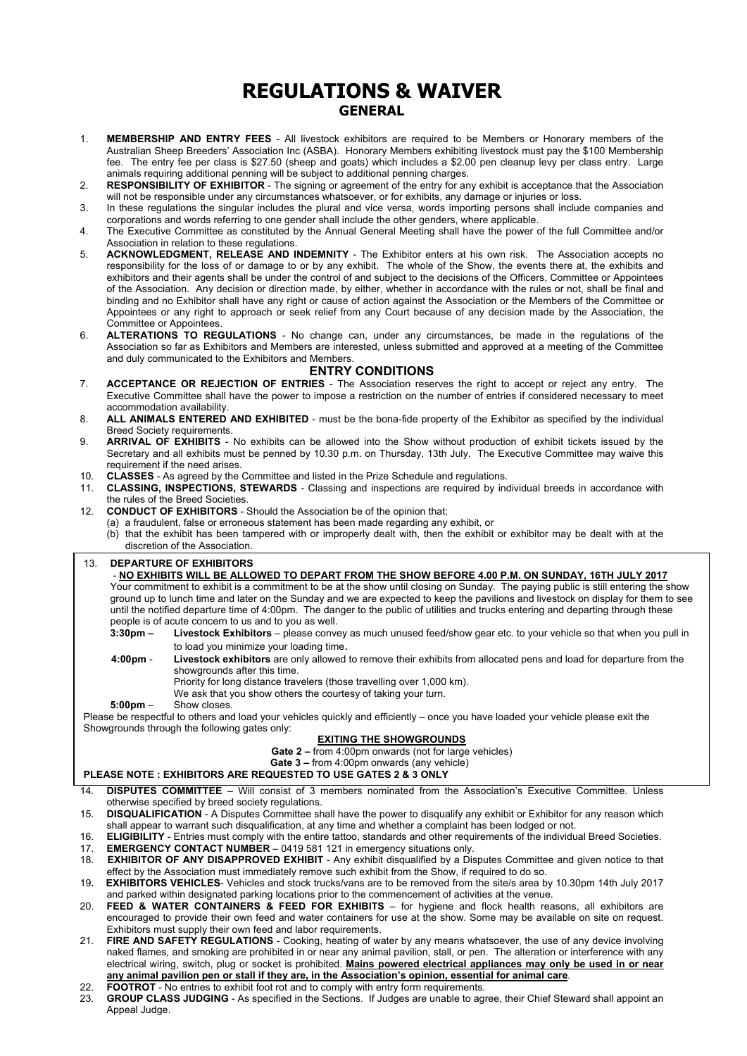## **REGULATIONS & WAIVER GENERAL**

- 1. **MEMBERSHIP AND ENTRY FEES** All livestock exhibitors are required to be Members or Honorary members of the Australian Sheep Breeders' Association Inc (ASBA). Honorary Members exhibiting livestock must pay the \$100 Membership fee. The entry fee per class is \$27.50 (sheep and goats) which includes a \$2.00 pen cleanup levy per class entry. Large animals requiring additional penning will be subject to additional penning charges.
- 2. **RESPONSIBILITY OF EXHIBITOR** The signing or agreement of the entry for any exhibit is acceptance that the Association will not be responsible under any circumstances whatsoever, or for exhibits, any damage or injuries or loss.
- 3. In these regulations the singular includes the plural and vice versa, words importing persons shall include companies and corporations and words referring to one gender shall include the other genders, where applicable.
- 4. The Executive Committee as constituted by the Annual General Meeting shall have the power of the full Committee and/or Association in relation to these regulations.
- 5. **ACKNOWLEDGMENT, RELEASE AND INDEMNITY** The Exhibitor enters at his own risk. The Association accepts no responsibility for the loss of or damage to or by any exhibit. The whole of the Show, the events there at, the exhibits and exhibitors and their agents shall be under the control of and subject to the decisions of the Officers, Committee or Appointees of the Association. Any decision or direction made, by either, whether in accordance with the rules or not, shall be final and binding and no Exhibitor shall have any right or cause of action against the Association or the Members of the Committee or Appointees or any right to approach or seek relief from any Court because of any decision made by the Association, the Committee or Appointees.
- 6. **ALTERATIONS TO REGULATIONS** No change can, under any circumstances, be made in the regulations of the Association so far as Exhibitors and Members are interested, unless submitted and approved at a meeting of the Committee and duly communicated to the Exhibitors and Members.

#### **ENTRY CONDITIONS**

- 7. **ACCEPTANCE OR REJECTION OF ENTRIES** The Association reserves the right to accept or reject any entry. The Executive Committee shall have the power to impose a restriction on the number of entries if considered necessary to meet accommodation availability.
- 8. **ALL ANIMALS ENTERED AND EXHIBITED** must be the bona-fide property of the Exhibitor as specified by the individual Breed Society requirements.
- 9. **ARRIVAL OF EXHIBITS** No exhibits can be allowed into the Show without production of exhibit tickets issued by the Secretary and all exhibits must be penned by 10.30 p.m. on Thursday, 13th July. The Executive Committee may waive this requirement if the need arises.
- 10. **CLASSES** As agreed by the Committee and listed in the Prize Schedule and regulations.
- 11. **CLASSING, INSPECTIONS, STEWARDS** Classing and inspections are required by individual breeds in accordance with the rules of the Breed Societies.
- 12. **CONDUCT OF EXHIBITORS** Should the Association be of the opinion that:
	- (a) a fraudulent, false or erroneous statement has been made regarding any exhibit, or
	- (b) that the exhibit has been tampered with or improperly dealt with, then the exhibit or exhibitor may be dealt with at the discretion of the Association.

#### 13. **DEPARTURE OF EXHIBITORS**

 - **NO EXHIBITS WILL BE ALLOWED TO DEPART FROM THE SHOW BEFORE 4.00 P.M. ON SUNDAY, 16TH JULY 2017** Your commitment to exhibit is a commitment to be at the show until closing on Sunday. The paying public is still entering the show ground up to lunch time and later on the Sunday and we are expected to keep the pavilions and livestock on display for them to see until the notified departure time of 4:00pm. The danger to the public of utilities and trucks entering and departing through these people is of acute concern to us and to you as well.

- **3:30pm Livestock Exhibitors** please convey as much unused feed/show gear etc. to your vehicle so that when you pull in
- to load you minimize your loading time.<br>4:00pm Livestock exhibitors are only allowed Livestock exhibitors are only allowed to remove their exhibits from allocated pens and load for departure from the showgrounds after this time. Priority for long distance travelers (those travelling over 1,000 km).
	- We ask that you show others the courtesy of taking your turn.
- **5:00pm** Show closes.

Please be respectful to others and load your vehicles quickly and efficiently – once you have loaded your vehicle please exit the Showgrounds through the following gates only:

#### **EXITING THE SHOWGROUNDS**

**Gate 2 –** from 4:00pm onwards (not for large vehicles)

#### **Gate 3 –** from 4:00pm onwards (any vehicle)

### **PLEASE NOTE : EXHIBITORS ARE REQUESTED TO USE GATES 2 & 3 ONLY**

- 14. **DISPUTES COMMITTEE** Will consist of 3 members nominated from the Association's Executive Committee. Unless otherwise specified by breed society regulations.
- 15. **DISQUALIFICATION** A Disputes Committee shall have the power to disqualify any exhibit or Exhibitor for any reason which shall appear to warrant such disqualification, at any time and whether a complaint has been lodged or not.
- 16. **ELIGIBILITY** Entries must comply with the entire tattoo, standards and other requirements of the individual Breed Societies.
- 17. **EMERGENCY CONTACT NUMBER** 0419 581 121 in emergency situations only.<br>18. **EXHIBITOR OF ANY DISAPPROVED EXHIBIT** Any exhibit disqualified by a Dis
- **EXHIBITOR OF ANY DISAPPROVED EXHIBIT** Any exhibit disqualified by a Disputes Committee and given notice to that effect by the Association must immediately remove such exhibit from the Show, if required to do so.
- 19**. EXHIBITORS VEHICLES** Vehicles and stock trucks/vans are to be removed from the site/s area by 10.30pm 14th July 2017 and parked within designated parking locations prior to the commencement of activities at the venue.
- 20. **FEED & WATER CONTAINERS & FEED FOR EXHIBITS** for hygiene and flock health reasons, all exhibitors are encouraged to provide their own feed and water containers for use at the show. Some may be available on site on request. Exhibitors must supply their own feed and labor requirements.
- 21. **FIRE AND SAFETY REGULATIONS** Cooking, heating of water by any means whatsoever, the use of any device involving naked flames, and smoking are prohibited in or near any animal pavilion, stall, or pen. The alteration or interference with any electrical wiring, switch, plug or socket is prohibited. **Mains powered electrical appliances may only be used in or near any animal pavilion pen or stall if they are, in the Association's opinion, essential for animal care**.
- 22. **FOOTROT** No entries to exhibit foot rot and to comply with entry form requirements.
- 23. **GROUP CLASS JUDGING** As specified in the Sections. If Judges are unable to agree, their Chief Steward shall appoint an Appeal Judge.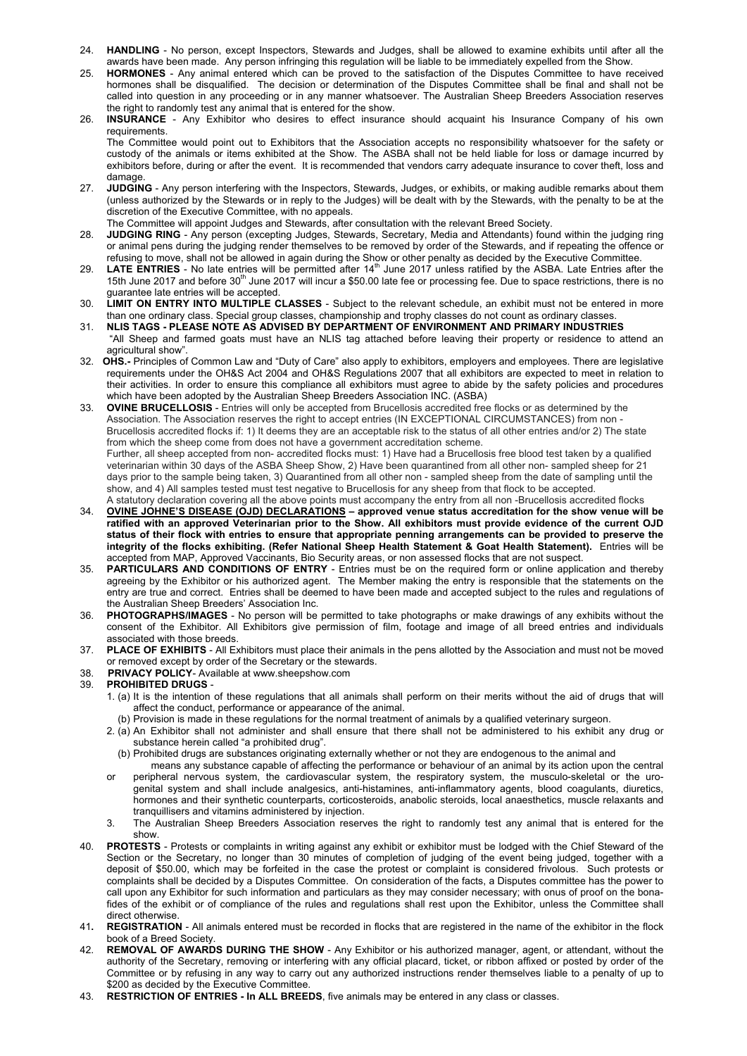- 24. **HANDLING** No person, except Inspectors, Stewards and Judges, shall be allowed to examine exhibits until after all the awards have been made. Any person infringing this regulation will be liable to be immediately expelled from the Show.
- 25. **HORMONES** Any animal entered which can be proved to the satisfaction of the Disputes Committee to have received hormones shall be disqualified. The decision or determination of the Disputes Committee shall be final and shall not be called into question in any proceeding or in any manner whatsoever. The Australian Sheep Breeders Association reserves the right to randomly test any animal that is entered for the show.
- 26. **INSURANCE** Any Exhibitor who desires to effect insurance should acquaint his Insurance Company of his own requirements.

 The Committee would point out to Exhibitors that the Association accepts no responsibility whatsoever for the safety or custody of the animals or items exhibited at the Show. The ASBA shall not be held liable for loss or damage incurred by exhibitors before, during or after the event. It is recommended that vendors carry adequate insurance to cover theft, loss and damage

- 27. **JUDGING** Any person interfering with the Inspectors, Stewards, Judges, or exhibits, or making audible remarks about them (unless authorized by the Stewards or in reply to the Judges) will be dealt with by the Stewards, with the penalty to be at the discretion of the Executive Committee, with no appeals.
- The Committee will appoint Judges and Stewards, after consultation with the relevant Breed Society.
- 28. **JUDGING RING** Any person (excepting Judges, Stewards, Secretary, Media and Attendants) found within the judging ring or animal pens during the judging render themselves to be removed by order of the Stewards, and if repeating the offence or refusing to move, shall not be allowed in again during the Show or other penalty as decided by the Executive Committee.
- 29. **LATE ENTRIES** No late entries will be permitted after 14th June 2017 unless ratified by the ASBA. Late Entries after the 15th June 2017 and before 30<sup>th</sup> June 2017 will incur a \$50.00 late fee or processing fee. Due to space restrictions, there is no guarantee late entries will be accepted.
- 30. **LIMIT ON ENTRY INTO MULTIPLE CLASSES** Subject to the relevant schedule, an exhibit must not be entered in more than one ordinary class. Special group classes, championship and trophy classes do not count as ordinary classes.
- 31. **NLIS TAGS - PLEASE NOTE AS ADVISED BY DEPARTMENT OF ENVIRONMENT AND PRIMARY INDUSTRIES**
- "All Sheep and farmed goats must have an NLIS tag attached before leaving their property or residence to attend an agricultural show".
- 32. **OHS.-** Principles of Common Law and "Duty of Care" also apply to exhibitors, employers and employees. There are legislative requirements under the OH&S Act 2004 and OH&S Regulations 2007 that all exhibitors are expected to meet in relation to their activities. In order to ensure this compliance all exhibitors must agree to abide by the safety policies and procedures which have been adopted by the Australian Sheep Breeders Association INC. (ASBA)
- 33. **OVINE BRUCELLOSIS** Entries will only be accepted from Brucellosis accredited free flocks or as determined by the Association. The Association reserves the right to accept entries (IN EXCEPTIONAL CIRCUMSTANCES) from non -Brucellosis accredited flocks if: 1) It deems they are an acceptable risk to the status of all other entries and/or 2) The state from which the sheep come from does not have a government accreditation scheme. Further, all sheep accepted from non- accredited flocks must: 1) Have had a Brucellosis free blood test taken by a qualified veterinarian within 30 days of the ASBA Sheep Show, 2) Have been quarantined from all other non- sampled sheep for 21 days prior to the sample being taken, 3) Quarantined from all other non - sampled sheep from the date of sampling until the show, and 4) All samples tested must test negative to Brucellosis for any sheep from that flock to be accepted. A statutory declaration covering all the above points must accompany the entry from all non -Brucellosis accredited flocks
- 34. **OVINE JOHNE'S DISEASE (OJD) DECLARATIONS approved venue status accreditation for the show venue will be ratified with an approved Veterinarian prior to the Show. All exhibitors must provide evidence of the current OJD status of their flock with entries to ensure that appropriate penning arrangements can be provided to preserve the integrity of the flocks exhibiting. (Refer National Sheep Health Statement & Goat Health Statement).** Entries will be accepted from MAP, Approved Vaccinants, Bio Security areas, or non assessed flocks that are not suspect.
- 35. **PARTICULARS AND CONDITIONS OF ENTRY** Entries must be on the required form or online application and thereby agreeing by the Exhibitor or his authorized agent. The Member making the entry is responsible that the statements on the entry are true and correct. Entries shall be deemed to have been made and accepted subject to the rules and regulations of the Australian Sheep Breeders' Association Inc.
- 36. **PHOTOGRAPHS/IMAGES** No person will be permitted to take photographs or make drawings of any exhibits without the consent of the Exhibitor. All Exhibitors give permission of film, footage and image of all breed entries and individuals associated with those breeds.
- 37. **PLACE OF EXHIBITS** All Exhibitors must place their animals in the pens allotted by the Association and must not be moved or removed except by order of the Secretary or the stewards.
- 38. **PRIVACY POLICY** Available at www.sheepshow.com
- 39. **PROHIBITED DRUGS**
	- 1. (a) It is the intention of these regulations that all animals shall perform on their merits without the aid of drugs that will affect the conduct, performance or appearance of the animal.
		- (b) Provision is made in these regulations for the normal treatment of animals by a qualified veterinary surgeon.
	- 2. (a) An Exhibitor shall not administer and shall ensure that there shall not be administered to his exhibit any drug or substance herein called "a prohibited drug".
		- (b) Prohibited drugs are substances originating externally whether or not they are endogenous to the animal and
	- means any substance capable of affecting the performance or behaviour of an animal by its action upon the central or peripheral nervous system, the cardiovascular system, the respiratory system, the musculo-skeletal or the uro genital system and shall include analgesics, anti-histamines, anti-inflammatory agents, blood coagulants, diuretics, hormones and their synthetic counterparts, corticosteroids, anabolic steroids, local anaesthetics, muscle relaxants and tranquillisers and vitamins administered by injection.
	- 3. The Australian Sheep Breeders Association reserves the right to randomly test any animal that is entered for the show.
- 40. **PROTESTS** Protests or complaints in writing against any exhibit or exhibitor must be lodged with the Chief Steward of the Section or the Secretary, no longer than 30 minutes of completion of judging of the event being judged, together with a deposit of \$50.00, which may be forfeited in the case the protest or complaint is considered frivolous. Such protests or complaints shall be decided by a Disputes Committee. On consideration of the facts, a Disputes committee has the power to call upon any Exhibitor for such information and particulars as they may consider necessary; with onus of proof on the bonafides of the exhibit or of compliance of the rules and regulations shall rest upon the Exhibitor, unless the Committee shall direct otherwise.
- 41**. REGISTRATION** All animals entered must be recorded in flocks that are registered in the name of the exhibitor in the flock book of a Breed Society.
- 42. **REMOVAL OF AWARDS DURING THE SHOW** Any Exhibitor or his authorized manager, agent, or attendant, without the authority of the Secretary, removing or interfering with any official placard, ticket, or ribbon affixed or posted by order of the Committee or by refusing in any way to carry out any authorized instructions render themselves liable to a penalty of up to \$200 as decided by the Executive Committee
- 43. **RESTRICTION OF ENTRIES In ALL BREEDS**, five animals may be entered in any class or classes.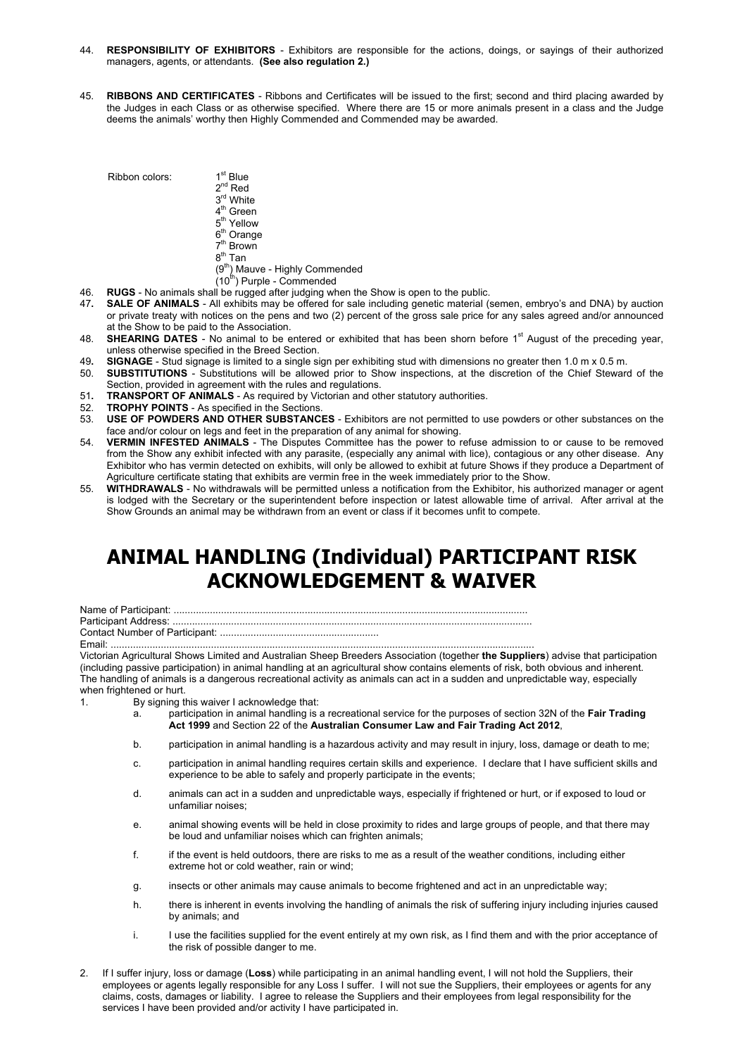- 44. **RESPONSIBILITY OF EXHIBITORS** Exhibitors are responsible for the actions, doings, or sayings of their authorized managers, agents, or attendants. **(See also regulation 2.)**
- 45. **RIBBONS AND CERTIFICATES** Ribbons and Certificates will be issued to the first; second and third placing awarded by the Judges in each Class or as otherwise specified. Where there are 15 or more animals present in a class and the Judge deems the animals' worthy then Highly Commended and Commended may be awarded.

 $Ribbon colors: 1<sup>st</sup> Blue$ 

- $2^{nd}$  Red
- 3<sup>rd</sup> White
- 4<sup>th</sup> Green  $5<sup>th</sup>$  Yellow
- $6<sup>th</sup>$  Orange
- **2th** Brown
- $8^{\text{th}}$  Tan
- $(9<sup>th</sup>)$  Mauve Highly Commended
- $(10<sup>th</sup>)$  Purple Commended
- 46. **RUGS** No animals shall be rugged after judging when the Show is open to the public.
- 47**. SALE OF ANIMALS** All exhibits may be offered for sale including genetic material (semen, embryo's and DNA) by auction or private treaty with notices on the pens and two (2) percent of the gross sale price for any sales agreed and/or announced at the Show to be paid to the Association.
- 48. **SHEARING DATES** No animal to be entered or exhibited that has been shorn before 1<sup>st</sup> August of the preceding year. unless otherwise specified in the Breed Section.
- 49**. SIGNAGE** Stud signage is limited to a single sign per exhibiting stud with dimensions no greater then 1.0 m x 0.5 m.
- 50. **SUBSTITUTIONS** Substitutions will be allowed prior to Show inspections, at the discretion of the Chief Steward of the Section, provided in agreement with the rules and regulations.
- 51. **TRANSPORT OF ANIMALS** As required by Victorian and other statutory authorities.<br>52. **TROPHY POINTS** As specified in the Sections
- 52. **TROPHY POINTS** As specified in the Sections.
- 53. **USE OF POWDERS AND OTHER SUBSTANCES** Exhibitors are not permitted to use powders or other substances on the face and/or colour on legs and feet in the preparation of any animal for showing.
- 54. **VERMIN INFESTED ANIMALS** The Disputes Committee has the power to refuse admission to or cause to be removed from the Show any exhibit infected with any parasite, (especially any animal with lice), contagious or any other disease. Any Exhibitor who has vermin detected on exhibits, will only be allowed to exhibit at future Shows if they produce a Department of Agriculture certificate stating that exhibits are vermin free in the week immediately prior to the Show.
- 55. **WITHDRAWALS** No withdrawals will be permitted unless a notification from the Exhibitor, his authorized manager or agent is lodged with the Secretary or the superintendent before inspection or latest allowable time of arrival. After arrival at the Show Grounds an animal may be withdrawn from an event or class if it becomes unfit to compete.

# **ANIMAL HANDLING (Individual) PARTICIPANT RISK ACKNOWLEDGEMENT & WAIVER**

Name of Participant: ...............................................................................................................................

Participant Address: .................................................................................................................................

Contact Number of Participant: ......................................................... Email: ........................................................................................................................................................

Victorian Agricultural Shows Limited and Australian Sheep Breeders Association (together **the Suppliers**) advise that participation (including passive participation) in animal handling at an agricultural show contains elements of risk, both obvious and inherent. The handling of animals is a dangerous recreational activity as animals can act in a sudden and unpredictable way, especially when frightened or hurt.

1. By signing this waiver I acknowledge that:

- a. participation in animal handling is a recreational service for the purposes of section 32N of the **Fair Trading Act 1999** and Section 22 of the **Australian Consumer Law and Fair Trading Act 2012**,
- b. participation in animal handling is a hazardous activity and may result in injury, loss, damage or death to me;
- c. participation in animal handling requires certain skills and experience. I declare that I have sufficient skills and experience to be able to safely and properly participate in the events;
- d. animals can act in a sudden and unpredictable ways, especially if frightened or hurt, or if exposed to loud or unfamiliar noises;
- e. animal showing events will be held in close proximity to rides and large groups of people, and that there may be loud and unfamiliar noises which can frighten animals;
- f. if the event is held outdoors, there are risks to me as a result of the weather conditions, including either extreme hot or cold weather, rain or wind;
- g. insects or other animals may cause animals to become frightened and act in an unpredictable way;
- h. there is inherent in events involving the handling of animals the risk of suffering injury including injuries caused by animals; and
- i. I use the facilities supplied for the event entirely at my own risk, as I find them and with the prior acceptance of the risk of possible danger to me.
- 2. If I suffer injury, loss or damage (**Loss**) while participating in an animal handling event, I will not hold the Suppliers, their employees or agents legally responsible for any Loss I suffer. I will not sue the Suppliers, their employees or agents for any claims, costs, damages or liability. I agree to release the Suppliers and their employees from legal responsibility for the services I have been provided and/or activity I have participated in.